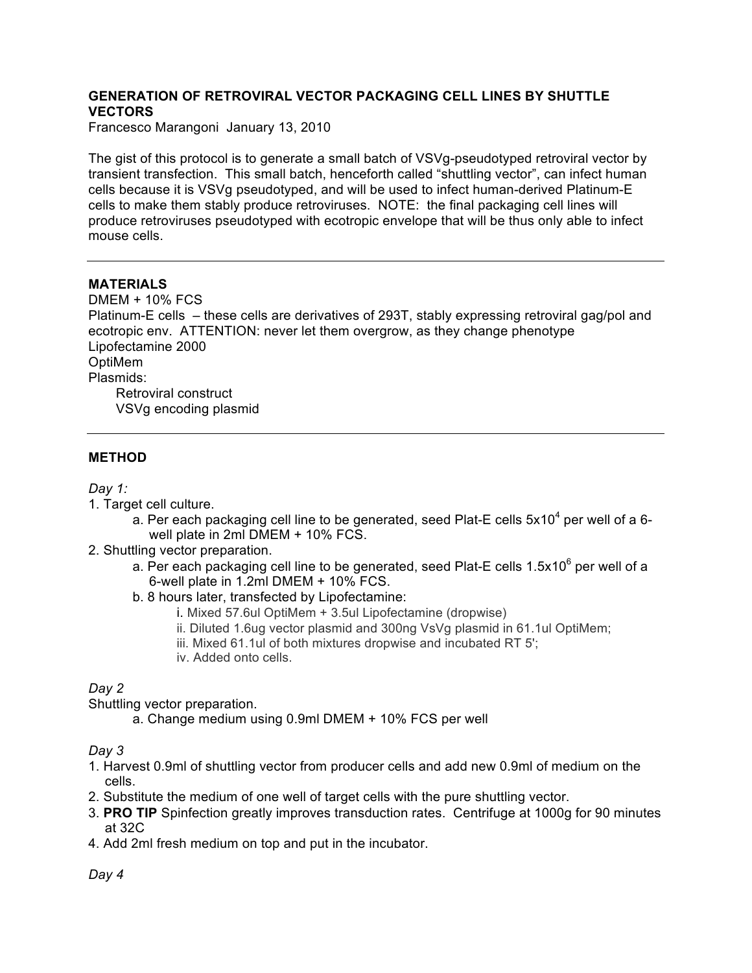# **GENERATION OF RETROVIRAL VECTOR PACKAGING CELL LINES BY SHUTTLE VECTORS**

Francesco Marangoni January 13, 2010

The gist of this protocol is to generate a small batch of VSVg-pseudotyped retroviral vector by transient transfection. This small batch, henceforth called "shuttling vector", can infect human cells because it is VSVg pseudotyped, and will be used to infect human-derived Platinum-E cells to make them stably produce retroviruses. NOTE: the final packaging cell lines will produce retroviruses pseudotyped with ecotropic envelope that will be thus only able to infect mouse cells.

## **MATERIALS**

DMEM + 10% FCS Platinum-E cells – these cells are derivatives of 293T, stably expressing retroviral gag/pol and ecotropic env. ATTENTION: never let them overgrow, as they change phenotype Lipofectamine 2000 OptiMem Plasmids: Retroviral construct VSVg encoding plasmid

## **METHOD**

### *Day 1:*

- 1. Target cell culture.
	- a. Per each packaging cell line to be generated, seed Plat-E cells  $5x10^4$  per well of a 6well plate in 2ml DMEM + 10% FCS.
- 2. Shuttling vector preparation.
	- a. Per each packaging cell line to be generated, seed Plat-E cells  $1.5x10^6$  per well of a 6-well plate in 1.2ml DMEM + 10% FCS.
	- b. 8 hours later, transfected by Lipofectamine:
		- i. Mixed 57.6ul OptiMem + 3.5ul Lipofectamine (dropwise)
		- ii. Diluted 1.6ug vector plasmid and 300ng VsVg plasmid in 61.1ul OptiMem;
		- iii. Mixed 61.1ul of both mixtures dropwise and incubated RT 5';
		- iv. Added onto cells.

# *Day 2*

Shuttling vector preparation.

a. Change medium using 0.9ml DMEM + 10% FCS per well

#### *Day 3*

- 1. Harvest 0.9ml of shuttling vector from producer cells and add new 0.9ml of medium on the cells.
- 2. Substitute the medium of one well of target cells with the pure shuttling vector.
- 3. **PRO TIP** Spinfection greatly improves transduction rates. Centrifuge at 1000g for 90 minutes at 32C
- 4. Add 2ml fresh medium on top and put in the incubator.

*Day 4*